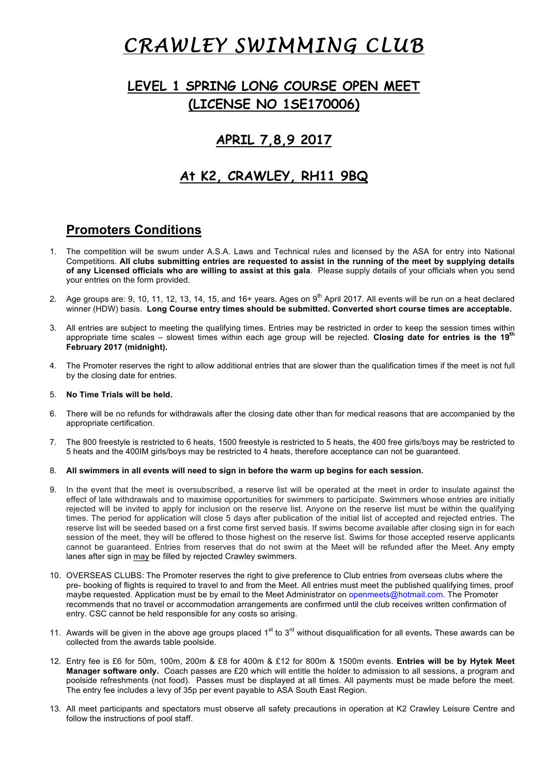# *CRAWLEY SWIMMING CLUB*

# **LEVEL 1 SPRING LONG COURSE OPEN MEET (LICENSE NO 1SE170006)**

## **APRIL 7,8,9 2017**

### **At K2, CRAWLEY, RH11 9BQ**

### **Promoters Conditions**

- 1. The competition will be swum under A.S.A. Laws and Technical rules and licensed by the ASA for entry into National Competitions. **All clubs submitting entries are requested to assist in the running of the meet by supplying details of any Licensed officials who are willing to assist at this gala**. Please supply details of your officials when you send your entries on the form provided.
- 2. Age groups are: 9, 10, 11, 12, 13, 14, 15, and 16+ years. Ages on 9<sup>th</sup> April 2017. All events will be run on a heat declared winner (HDW) basis. **Long Course entry times should be submitted. Converted short course times are acceptable.**
- 3. All entries are subject to meeting the qualifying times. Entries may be restricted in order to keep the session times within appropriate time scales – slowest times within each age group will be rejected. **Closing date for entries is the 19th February 2017 (midnight).**
- 4. The Promoter reserves the right to allow additional entries that are slower than the qualification times if the meet is not full by the closing date for entries.

#### 5. **No Time Trials will be held.**

- 6. There will be no refunds for withdrawals after the closing date other than for medical reasons that are accompanied by the appropriate certification.
- 7. The 800 freestyle is restricted to 6 heats, 1500 freestyle is restricted to 5 heats, the 400 free girls/boys may be restricted to 5 heats and the 400IM girls/boys may be restricted to 4 heats, therefore acceptance can not be guaranteed.

#### 8. **All swimmers in all events will need to sign in before the warm up begins for each session.**

- 9. In the event that the meet is oversubscribed, a reserve list will be operated at the meet in order to insulate against the effect of late withdrawals and to maximise opportunities for swimmers to participate. Swimmers whose entries are initially rejected will be invited to apply for inclusion on the reserve list. Anyone on the reserve list must be within the qualifying times. The period for application will close 5 days after publication of the initial list of accepted and rejected entries. The reserve list will be seeded based on a first come first served basis. If swims become available after closing sign in for each session of the meet, they will be offered to those highest on the reserve list. Swims for those accepted reserve applicants cannot be guaranteed. Entries from reserves that do not swim at the Meet will be refunded after the Meet. Any empty lanes after sign in may be filled by rejected Crawley swimmers.
- 10. OVERSEAS CLUBS: The Promoter reserves the right to give preference to Club entries from overseas clubs where the pre- booking of flights is required to travel to and from the Meet. All entries must meet the published qualifying times, proof maybe requested. Application must be by email to the Meet Administrator on openmeets@hotmail.com. The Promoter recommends that no travel or accommodation arrangements are confirmed until the club receives written confirmation of entry. CSC cannot be held responsible for any costs so arising.
- 11. Awards will be given in the above age groups placed 1<sup>st</sup> to 3<sup>rd</sup> without disqualification for all events. These awards can be collected from the awards table poolside.
- 12. Entry fee is £6 for 50m, 100m, 200m & £8 for 400m & £12 for 800m & 1500m events. **Entries will be by Hytek Meet Manager software only.** Coach passes are £20 which will entitle the holder to admission to all sessions, a program and poolside refreshments (not food). Passes must be displayed at all times. All payments must be made before the meet. The entry fee includes a levy of 35p per event payable to ASA South East Region.
- 13. All meet participants and spectators must observe all safety precautions in operation at K2 Crawley Leisure Centre and follow the instructions of pool staff.